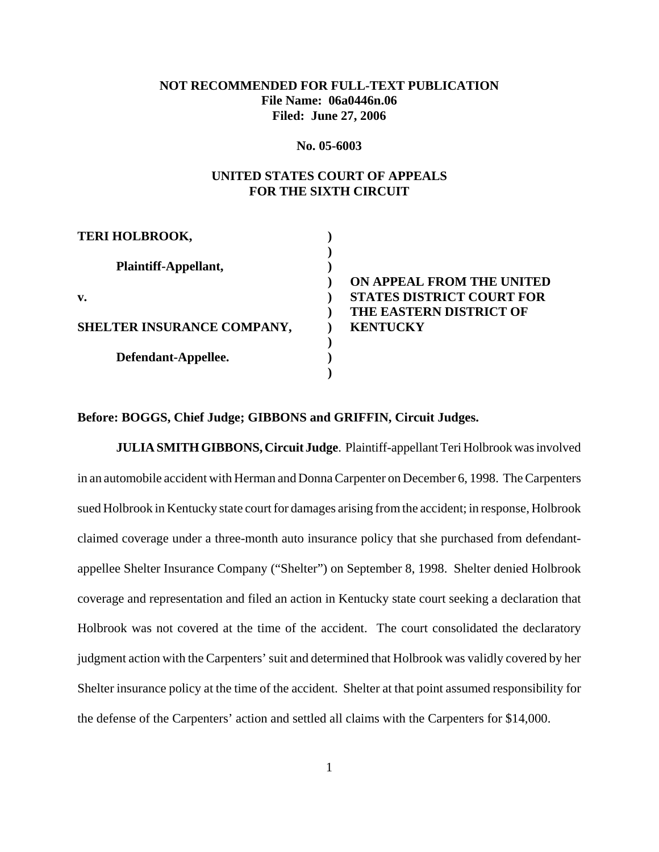# **NOT RECOMMENDED FOR FULL-TEXT PUBLICATION File Name: 06a0446n.06 Filed: June 27, 2006**

#### **No. 05-6003**

## **UNITED STATES COURT OF APPEALS FOR THE SIXTH CIRCUIT**

| <b>TERI HOLBROOK,</b>      |                                  |
|----------------------------|----------------------------------|
| Plaintiff-Appellant,       |                                  |
|                            | ON APPEAL FROM THE UNITED        |
| v.                         | <b>STATES DISTRICT COURT FOR</b> |
|                            | THE EASTERN DISTRICT OF          |
| SHELTER INSURANCE COMPANY, | <b>KENTUCKY</b>                  |
|                            |                                  |
| Defendant-Appellee.        |                                  |
|                            |                                  |

### **Before: BOGGS, Chief Judge; GIBBONS and GRIFFIN, Circuit Judges.**

**JULIA SMITH GIBBONS, Circuit Judge**. Plaintiff-appellant Teri Holbrook was involved in an automobile accident with Herman and Donna Carpenter on December 6, 1998. The Carpenters sued Holbrook in Kentucky state court for damages arising from the accident; in response, Holbrook claimed coverage under a three-month auto insurance policy that she purchased from defendantappellee Shelter Insurance Company ("Shelter") on September 8, 1998. Shelter denied Holbrook coverage and representation and filed an action in Kentucky state court seeking a declaration that Holbrook was not covered at the time of the accident. The court consolidated the declaratory judgment action with the Carpenters' suit and determined that Holbrook was validly covered by her Shelter insurance policy at the time of the accident. Shelter at that point assumed responsibility for the defense of the Carpenters' action and settled all claims with the Carpenters for \$14,000.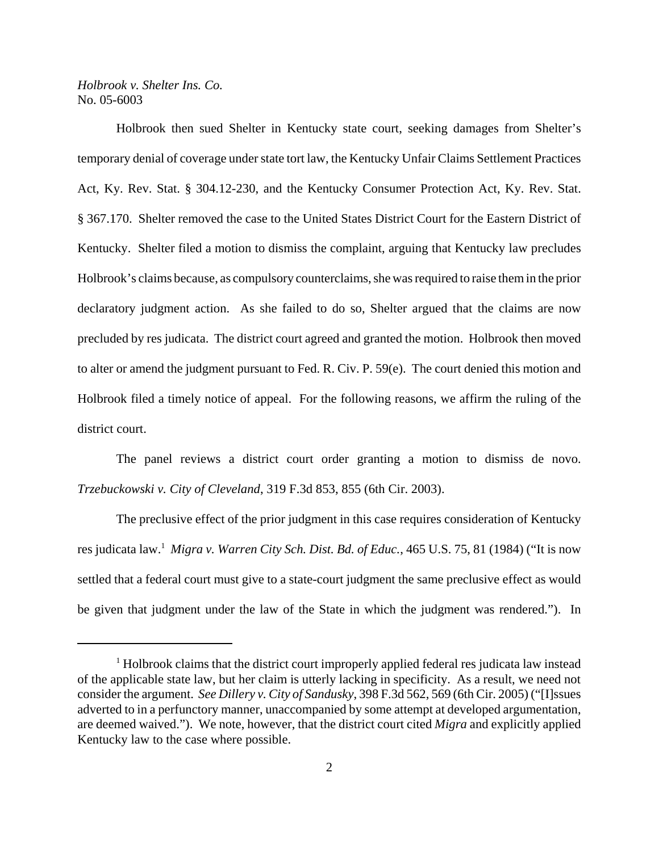Holbrook then sued Shelter in Kentucky state court, seeking damages from Shelter's temporary denial of coverage under state tort law, the Kentucky Unfair Claims Settlement Practices Act, Ky. Rev. Stat. § 304.12-230, and the Kentucky Consumer Protection Act, Ky. Rev. Stat. § 367.170. Shelter removed the case to the United States District Court for the Eastern District of Kentucky. Shelter filed a motion to dismiss the complaint, arguing that Kentucky law precludes Holbrook's claims because, as compulsory counterclaims, she was required to raise them in the prior declaratory judgment action. As she failed to do so, Shelter argued that the claims are now precluded by res judicata. The district court agreed and granted the motion. Holbrook then moved to alter or amend the judgment pursuant to Fed. R. Civ. P. 59(e). The court denied this motion and Holbrook filed a timely notice of appeal. For the following reasons, we affirm the ruling of the district court.

The panel reviews a district court order granting a motion to dismiss de novo. *Trzebuckowski v. City of Cleveland*, 319 F.3d 853, 855 (6th Cir. 2003).

The preclusive effect of the prior judgment in this case requires consideration of Kentucky res judicata law.1 *Migra v. Warren City Sch. Dist. Bd. of Educ.*, 465 U.S. 75, 81 (1984) ("It is now settled that a federal court must give to a state-court judgment the same preclusive effect as would be given that judgment under the law of the State in which the judgment was rendered."). In

<sup>&</sup>lt;sup>1</sup> Holbrook claims that the district court improperly applied federal res judicata law instead of the applicable state law, but her claim is utterly lacking in specificity. As a result, we need not consider the argument. *See Dillery v. City of Sandusky*, 398 F.3d 562, 569 (6th Cir. 2005) ("[I]ssues adverted to in a perfunctory manner, unaccompanied by some attempt at developed argumentation, are deemed waived."). We note, however, that the district court cited *Migra* and explicitly applied Kentucky law to the case where possible.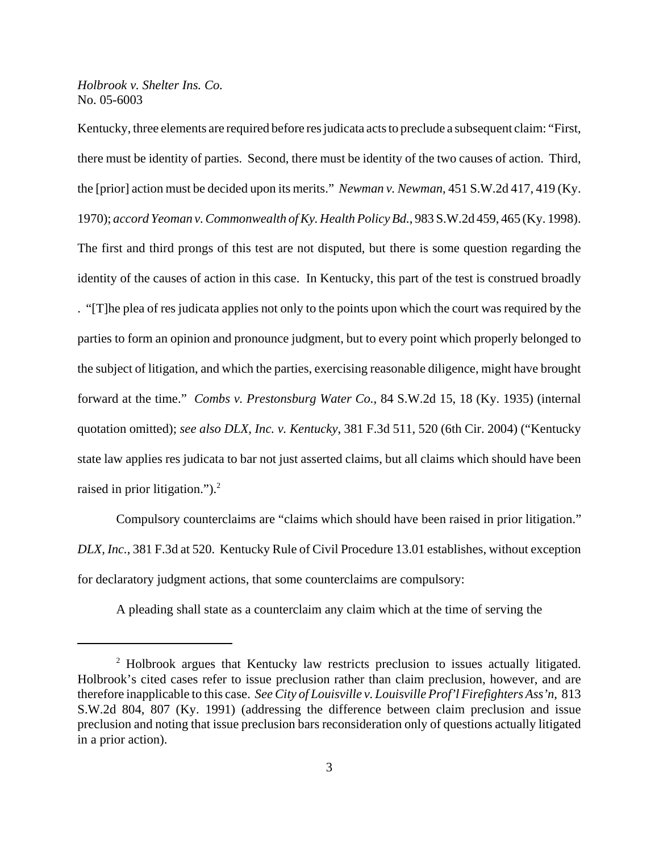Kentucky, three elements are required before res judicata acts to preclude a subsequent claim: "First, there must be identity of parties. Second, there must be identity of the two causes of action. Third, the [prior] action must be decided upon its merits." *Newman v. Newman*, 451 S.W.2d 417, 419 (Ky. 1970); *accord Yeoman v. Commonwealth of Ky. Health Policy Bd.*, 983 S.W.2d 459, 465 (Ky. 1998). The first and third prongs of this test are not disputed, but there is some question regarding the identity of the causes of action in this case. In Kentucky, this part of the test is construed broadly . "[T]he plea of res judicata applies not only to the points upon which the court was required by the parties to form an opinion and pronounce judgment, but to every point which properly belonged to the subject of litigation, and which the parties, exercising reasonable diligence, might have brought forward at the time." *Combs v. Prestonsburg Water Co.*, 84 S.W.2d 15, 18 (Ky. 1935) (internal quotation omitted); *see also DLX, Inc. v. Kentucky*, 381 F.3d 511, 520 (6th Cir. 2004) ("Kentucky state law applies res judicata to bar not just asserted claims, but all claims which should have been raised in prior litigation.").<sup>2</sup>

Compulsory counterclaims are "claims which should have been raised in prior litigation." *DLX, Inc.*, 381 F.3d at 520. Kentucky Rule of Civil Procedure 13.01 establishes, without exception for declaratory judgment actions, that some counterclaims are compulsory:

A pleading shall state as a counterclaim any claim which at the time of serving the

<sup>&</sup>lt;sup>2</sup> Holbrook argues that Kentucky law restricts preclusion to issues actually litigated. Holbrook's cited cases refer to issue preclusion rather than claim preclusion, however, and are therefore inapplicable to this case. *See City of Louisville v. Louisville Prof'l Firefighters Ass'n*, 813 S.W.2d 804, 807 (Ky. 1991) (addressing the difference between claim preclusion and issue preclusion and noting that issue preclusion bars reconsideration only of questions actually litigated in a prior action).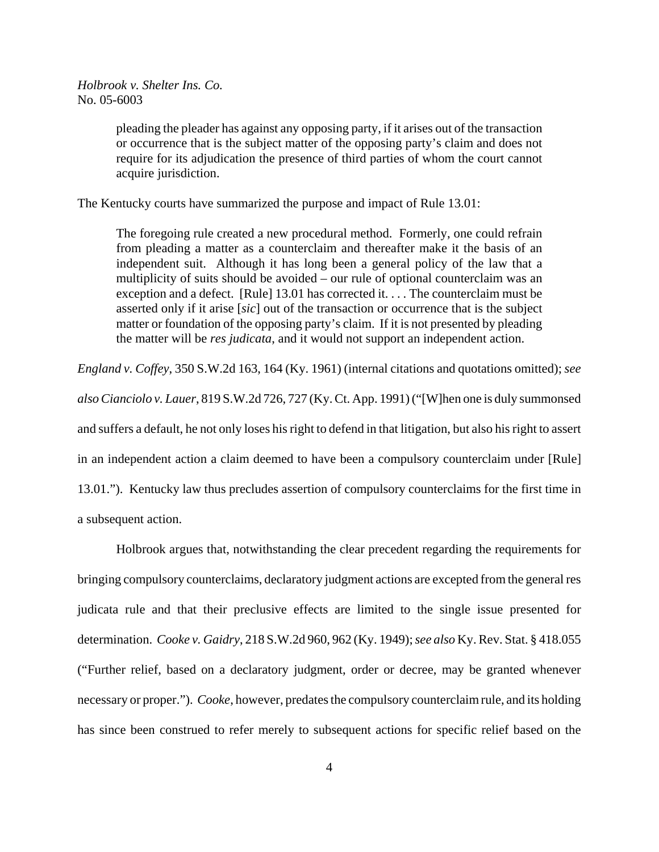pleading the pleader has against any opposing party, if it arises out of the transaction or occurrence that is the subject matter of the opposing party's claim and does not require for its adjudication the presence of third parties of whom the court cannot acquire jurisdiction.

The Kentucky courts have summarized the purpose and impact of Rule 13.01:

The foregoing rule created a new procedural method. Formerly, one could refrain from pleading a matter as a counterclaim and thereafter make it the basis of an independent suit. Although it has long been a general policy of the law that a multiplicity of suits should be avoided – our rule of optional counterclaim was an exception and a defect. [Rule] 13.01 has corrected it. . . . The counterclaim must be asserted only if it arise [*sic*] out of the transaction or occurrence that is the subject matter or foundation of the opposing party's claim. If it is not presented by pleading the matter will be *res judicata*, and it would not support an independent action.

*England v. Coffey*, 350 S.W.2d 163, 164 (Ky. 1961) (internal citations and quotations omitted); *see*

*also Cianciolo v. Lauer*, 819 S.W.2d 726, 727 (Ky. Ct. App. 1991) ("[W]hen one is duly summonsed and suffers a default, he not only loses his right to defend in that litigation, but also his right to assert in an independent action a claim deemed to have been a compulsory counterclaim under [Rule] 13.01."). Kentucky law thus precludes assertion of compulsory counterclaims for the first time in a subsequent action.

Holbrook argues that, notwithstanding the clear precedent regarding the requirements for bringing compulsory counterclaims, declaratory judgment actions are excepted from the general res judicata rule and that their preclusive effects are limited to the single issue presented for determination. *Cooke v. Gaidry*, 218 S.W.2d 960, 962 (Ky. 1949); *see also* Ky. Rev. Stat. § 418.055 ("Further relief, based on a declaratory judgment, order or decree, may be granted whenever necessary or proper."). *Cooke*, however, predates the compulsory counterclaim rule, and its holding has since been construed to refer merely to subsequent actions for specific relief based on the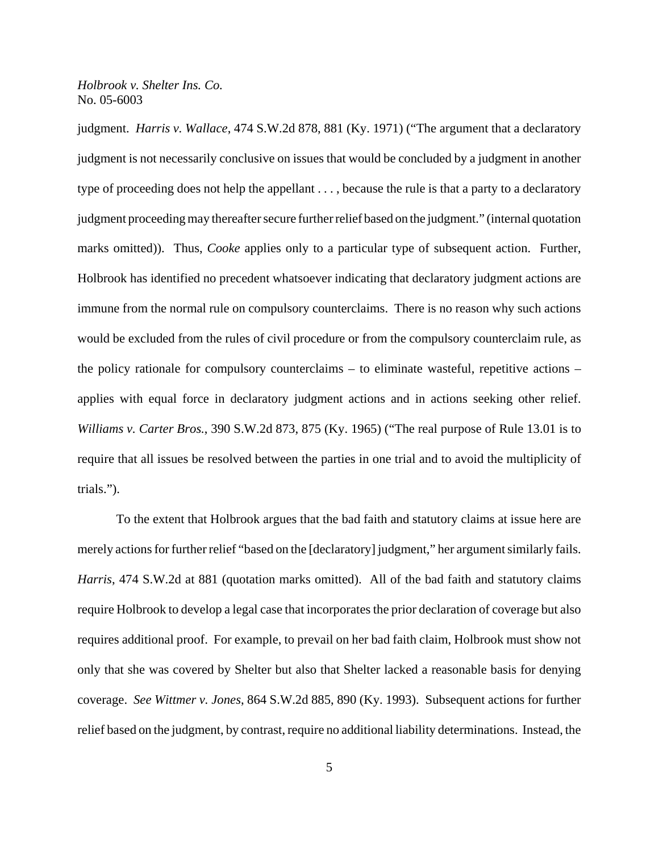judgment. *Harris v. Wallace*, 474 S.W.2d 878, 881 (Ky. 1971) ("The argument that a declaratory judgment is not necessarily conclusive on issues that would be concluded by a judgment in another type of proceeding does not help the appellant . . . , because the rule is that a party to a declaratory judgment proceeding may thereafter secure further relief based on the judgment." (internal quotation marks omitted)). Thus, *Cooke* applies only to a particular type of subsequent action. Further, Holbrook has identified no precedent whatsoever indicating that declaratory judgment actions are immune from the normal rule on compulsory counterclaims. There is no reason why such actions would be excluded from the rules of civil procedure or from the compulsory counterclaim rule, as the policy rationale for compulsory counterclaims – to eliminate wasteful, repetitive actions – applies with equal force in declaratory judgment actions and in actions seeking other relief. *Williams v. Carter Bros.*, 390 S.W.2d 873, 875 (Ky. 1965) ("The real purpose of Rule 13.01 is to require that all issues be resolved between the parties in one trial and to avoid the multiplicity of trials.").

To the extent that Holbrook argues that the bad faith and statutory claims at issue here are merely actions for further relief "based on the [declaratory] judgment," her argument similarly fails. *Harris*, 474 S.W.2d at 881 (quotation marks omitted). All of the bad faith and statutory claims require Holbrook to develop a legal case that incorporates the prior declaration of coverage but also requires additional proof. For example, to prevail on her bad faith claim, Holbrook must show not only that she was covered by Shelter but also that Shelter lacked a reasonable basis for denying coverage. *See Wittmer v. Jones*, 864 S.W.2d 885, 890 (Ky. 1993). Subsequent actions for further relief based on the judgment, by contrast, require no additional liability determinations. Instead, the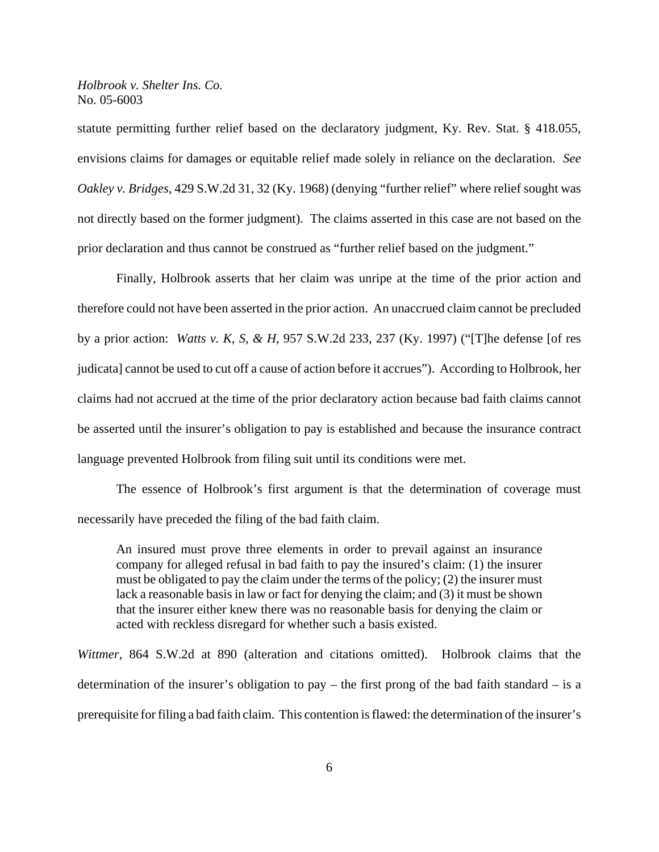statute permitting further relief based on the declaratory judgment, Ky. Rev. Stat. § 418.055, envisions claims for damages or equitable relief made solely in reliance on the declaration. *See Oakley v. Bridges*, 429 S.W.2d 31, 32 (Ky. 1968) (denying "further relief" where relief sought was not directly based on the former judgment). The claims asserted in this case are not based on the prior declaration and thus cannot be construed as "further relief based on the judgment."

Finally, Holbrook asserts that her claim was unripe at the time of the prior action and therefore could not have been asserted in the prior action. An unaccrued claim cannot be precluded by a prior action: *Watts v. K, S, & H*, 957 S.W.2d 233, 237 (Ky. 1997) ("[T]he defense [of res judicata] cannot be used to cut off a cause of action before it accrues"). According to Holbrook, her claims had not accrued at the time of the prior declaratory action because bad faith claims cannot be asserted until the insurer's obligation to pay is established and because the insurance contract language prevented Holbrook from filing suit until its conditions were met.

The essence of Holbrook's first argument is that the determination of coverage must necessarily have preceded the filing of the bad faith claim.

An insured must prove three elements in order to prevail against an insurance company for alleged refusal in bad faith to pay the insured's claim: (1) the insurer must be obligated to pay the claim under the terms of the policy; (2) the insurer must lack a reasonable basis in law or fact for denying the claim; and (3) it must be shown that the insurer either knew there was no reasonable basis for denying the claim or acted with reckless disregard for whether such a basis existed.

*Wittmer*, 864 S.W.2d at 890 (alteration and citations omitted). Holbrook claims that the determination of the insurer's obligation to pay – the first prong of the bad faith standard – is a prerequisite for filing a bad faith claim. This contention is flawed: the determination of the insurer's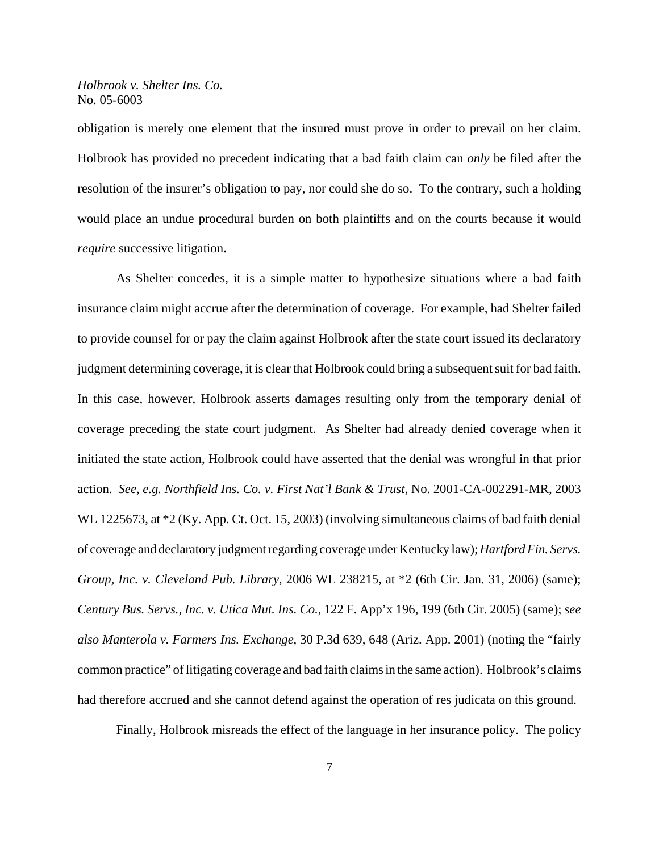obligation is merely one element that the insured must prove in order to prevail on her claim. Holbrook has provided no precedent indicating that a bad faith claim can *only* be filed after the resolution of the insurer's obligation to pay, nor could she do so. To the contrary, such a holding would place an undue procedural burden on both plaintiffs and on the courts because it would *require* successive litigation.

As Shelter concedes, it is a simple matter to hypothesize situations where a bad faith insurance claim might accrue after the determination of coverage. For example, had Shelter failed to provide counsel for or pay the claim against Holbrook after the state court issued its declaratory judgment determining coverage, it is clear that Holbrook could bring a subsequent suit for bad faith. In this case, however, Holbrook asserts damages resulting only from the temporary denial of coverage preceding the state court judgment. As Shelter had already denied coverage when it initiated the state action, Holbrook could have asserted that the denial was wrongful in that prior action. *See, e.g. Northfield Ins. Co. v. First Nat'l Bank & Trust*, No. 2001-CA-002291-MR, 2003 WL 1225673, at  $*2$  (Ky. App. Ct. Oct. 15, 2003) (involving simultaneous claims of bad faith denial of coverage and declaratory judgment regarding coverage under Kentucky law); *Hartford Fin. Servs. Group, Inc. v. Cleveland Pub. Library*, 2006 WL 238215, at \*2 (6th Cir. Jan. 31, 2006) (same); *Century Bus. Servs., Inc. v. Utica Mut. Ins. Co.*, 122 F. App'x 196, 199 (6th Cir. 2005) (same); *see also Manterola v. Farmers Ins. Exchange*, 30 P.3d 639, 648 (Ariz. App. 2001) (noting the "fairly common practice" of litigating coverage and bad faith claims in the same action). Holbrook's claims had therefore accrued and she cannot defend against the operation of res judicata on this ground.

Finally, Holbrook misreads the effect of the language in her insurance policy. The policy